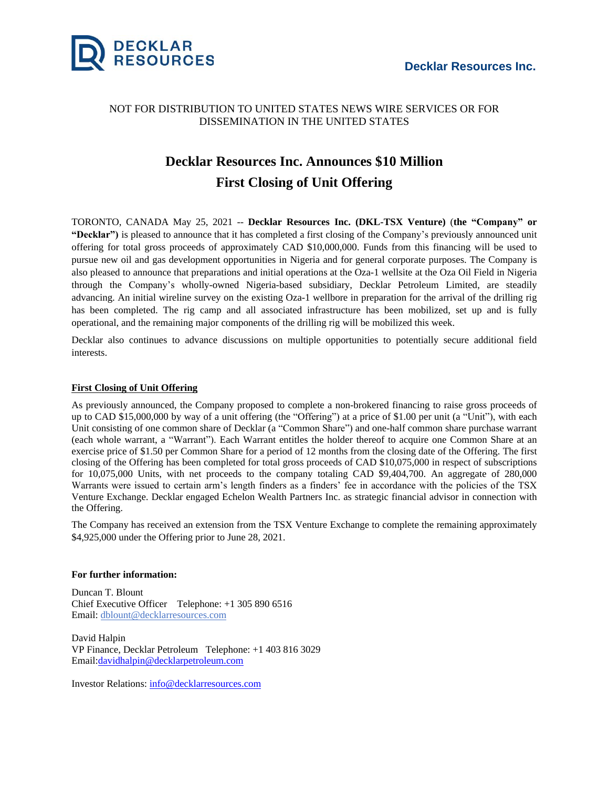

## NOT FOR DISTRIBUTION TO UNITED STATES NEWS WIRE SERVICES OR FOR DISSEMINATION IN THE UNITED STATES

# **Decklar Resources Inc. Announces \$10 Million First Closing of Unit Offering**

TORONTO, CANADA May 25, 2021 -- **Decklar Resources Inc. (DKL-TSX Venture)** (**the "Company" or "Decklar")** is pleased to announce that it has completed a first closing of the Company's previously announced unit offering for total gross proceeds of approximately CAD \$10,000,000. Funds from this financing will be used to pursue new oil and gas development opportunities in Nigeria and for general corporate purposes. The Company is also pleased to announce that preparations and initial operations at the Oza-1 wellsite at the Oza Oil Field in Nigeria through the Company's wholly-owned Nigeria-based subsidiary, Decklar Petroleum Limited, are steadily advancing. An initial wireline survey on the existing Oza-1 wellbore in preparation for the arrival of the drilling rig has been completed. The rig camp and all associated infrastructure has been mobilized, set up and is fully operational, and the remaining major components of the drilling rig will be mobilized this week.

Decklar also continues to advance discussions on multiple opportunities to potentially secure additional field interests.

### **First Closing of Unit Offering**

As previously announced, the Company proposed to complete a non-brokered financing to raise gross proceeds of up to CAD \$15,000,000 by way of a unit offering (the "Offering") at a price of \$1.00 per unit (a "Unit"), with each Unit consisting of one common share of Decklar (a "Common Share") and one-half common share purchase warrant (each whole warrant, a "Warrant"). Each Warrant entitles the holder thereof to acquire one Common Share at an exercise price of \$1.50 per Common Share for a period of 12 months from the closing date of the Offering. The first closing of the Offering has been completed for total gross proceeds of CAD \$10,075,000 in respect of subscriptions for 10,075,000 Units, with net proceeds to the company totaling CAD \$9,404,700. An aggregate of 280,000 Warrants were issued to certain arm's length finders as a finders' fee in accordance with the policies of the TSX Venture Exchange. Decklar engaged Echelon Wealth Partners Inc. as strategic financial advisor in connection with the Offering.

The Company has received an extension from the TSX Venture Exchange to complete the remaining approximately \$4,925,000 under the Offering prior to June 28, 2021.

#### **For further information:**

Duncan T. Blount Chief Executive Officer Telephone: +1 305 890 6516 Email: [dblount@decklarresources.com](mailto:dblount@decklarresources.com)

David Halpin VP Finance, Decklar Petroleum Telephone: +1 403 816 3029 Email[:davidhalpin@decklarpetroleum.com](mailto:davidhalpin@decklarpetroleum.com)

Investor Relations: [info@decklarresources.com](mailto:info@decklarresources.com)